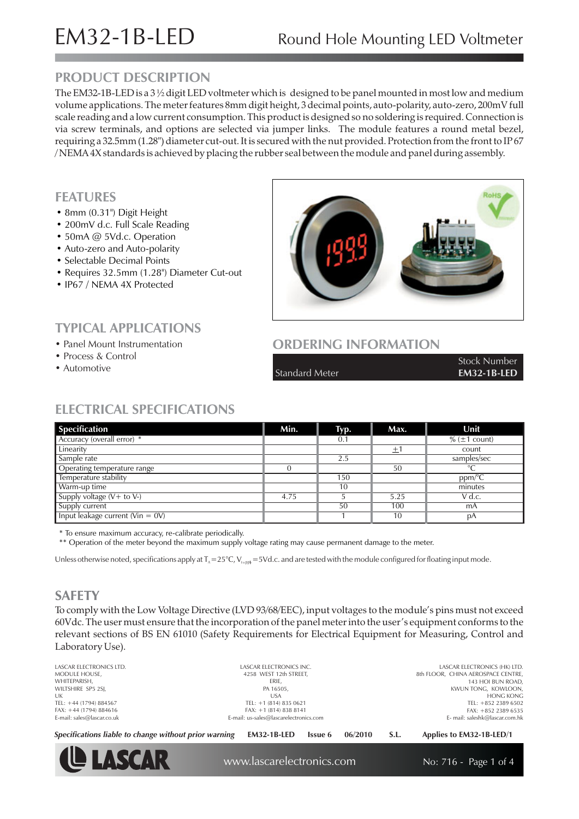### **PRODUCT DESCRIPTION**

The EM32-1B-LED is a  $3\frac{1}{2}$  digit LED voltmeter which is designed to be panel mounted in most low and medium volume applications. The meter features 8mm digit height, 3 decimal points, auto-polarity, auto-zero, 200mV full scale reading and a low current consumption. This product is designed so no soldering is required. Connection is via screw terminals, and options are selected via jumper links. The module features a round metal bezel, requiring a 32.5mm (1.28") diameter cut-out. It is secured with the nut provided. Protection from the front to IP 67 / NEMA 4X standards is achieved by placing the rubber seal between the module and panel during assembly.

#### **FEATURES**

- 8 mm (0.31") Digit Height
- 200mV d.c. Full Scale Reading
- 50mA @ 5Vd.c. Operation
- Auto-zero and Auto-polarity
- Selectable Decimal Points
- Requires 32.5mm (1.28") Diameter Cut-out
- IP67 / NEMA 4X Protected

• Process & Control • Automotive

**TYPICAL APPLICATIONS** • Panel Mount Instrumentation



### **ORDERING INFORMATION**

Standard Meter **EM32-1B-LED**

Stock Number

## **ELECTRICAL SPECIFICATIONS**

| <b>Specification</b>                     | Min. | Typ. | Max. | Unit              |
|------------------------------------------|------|------|------|-------------------|
| Accuracy (overall error) *               |      | 0.1  |      | $% (\pm 1$ count) |
| Linearity                                |      |      | 土    | count             |
| Sample rate                              |      | 2.5  |      | samples/sec       |
| Operating temperature range              |      |      | 50   | $\circ$           |
| Temperature stability                    |      | 150  |      | ppm/°C            |
| Warm-up time                             |      | 10   |      | minutes           |
| Supply voltage $(V + to V)$              | 4.75 |      | 5.25 | V d.c.            |
| Supply current                           |      | 50   | 100  | mA                |
| Input leakage current ( $V$ in = 0 $V$ ) |      |      | 10   | рA                |

\* To ensure maximum accuracy, re-calibrate periodically.

\*\* Operation of the meter beyond the maximum supply voltage rating may cause permanent damage to the meter.

Unless otherwise noted, specifications apply at T<sub>^</sub>=25°C, V<sub>suph</sub>=5Vd.c. and are tested with the module configured for floating input mode.

### **SAFETY**

To comply with the Low Voltage Directive (LVD 93/68/EEC), input voltages to the module's pins must not exceed 60Vdc. The user must ensure that the incorporation of the panel meter into the user's equipment conforms to the relevant sections of BS EN 61010 (Safety Requirements for Electrical Equipment for Measuring, Control and Laboratory Use).

LASCAR ELECTRONICS LTD. MODULE HOUSE, WHITEPARISH, WILTSHIRE SP5 2SJ, UK  $TEI: +44 (1794) 884567$ FAX: +44 (1794) 884616 E-mail: sales@lascar.co.uk

LASCAR ELECTRONICS INC. 4258 WEST 12th STREET, ERIE, PA 16505, USA  $TEI: +1 (814) 835 0621$ FAX: +1 (814) 838 8141 E-mail: us-sales@lascarelectronics.com

LASCAR ELECTRONICS (HK) LTD. 8th FLOOR, CHINA AEROSPACE CENTRE, 143 HOI BUN ROAD, KWUN TONG, KOWLOON, HONG KONG TEL: +852 2389 6502 FAX: +852 2389 6535 E- mail: saleshk@lascar.com.hk

*Specifications liable to change without prior warning* **EM32-1B-LED Issue 6 06/2010 S.L. Applies to EM32-1B-LED/1**



www.lascarelectronics.com No: 716 - Page 1 of 4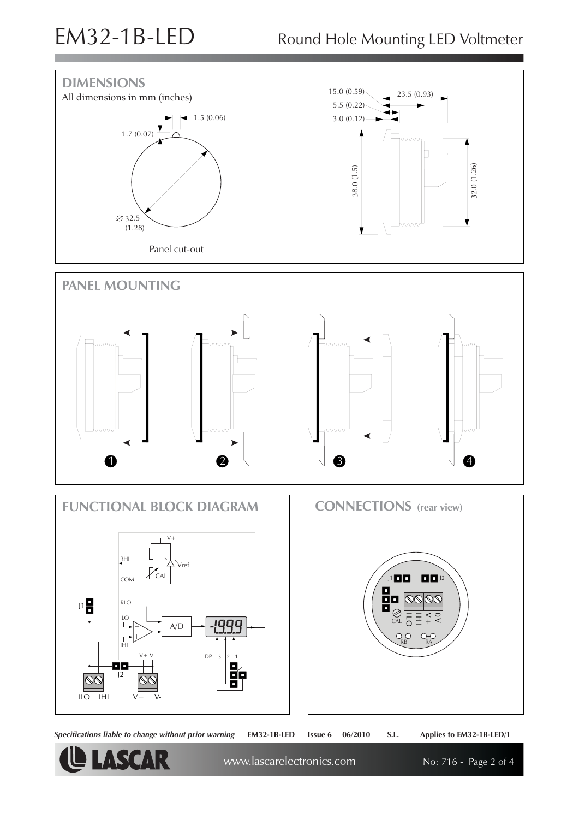

*Specifications liable to change without prior warning* **EM32-1B-LED Issue 6 06/2010 S.L. Applies to EM32-1B-LED/1**

**LE LASCAR** 

www.lascarelectronics.com No: 716 - Page 2 of 4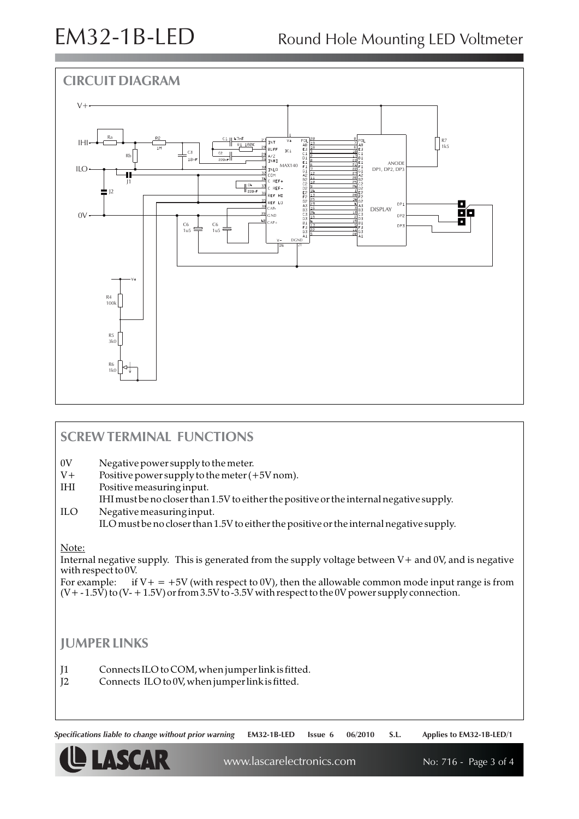# EM32-1B-LED Round Hole Mounting LED Voltmeter



### **SCREW TERMINAL FUNCTIONS**

0V Negative power supply to the meter.

- $V+$  Positive power supply to the meter  $(+5V)$  nom).<br>IHI Positive measuring input.
- Positive measuring input.

IHI must be no closer than 1.5V to either the positive or the internal negative supply. ILO Negative measuring input.

ILO must be no closer than 1.5V to either the positive or the internal negative supply.

#### Note:

Internal negative supply. This is generated from the supply voltage between V+ and 0V, and is negative with respect to 0V.

For example: if  $V + = +5V$  (with respect to 0V), then the allowable common mode input range is from  $(V + -1.5\dot{V})$  to  $(V - +1.5V)$  or from 3.5V to -3.5V with respect to the 0V power supply connection.

#### **JUMPER LINKS**

J1 Connects ILO to COM, when jumper link is fitted.

J2 Connects ILO to 0V, when jumper link is fitted.

*Specifications liable to change without prior warning* **EM32-1B-LED Issue 6 06/2010 S.L. Applies to EM32-1B-LED/1**



www.lascarelectronics.com No: 716 - Page 3 of 4